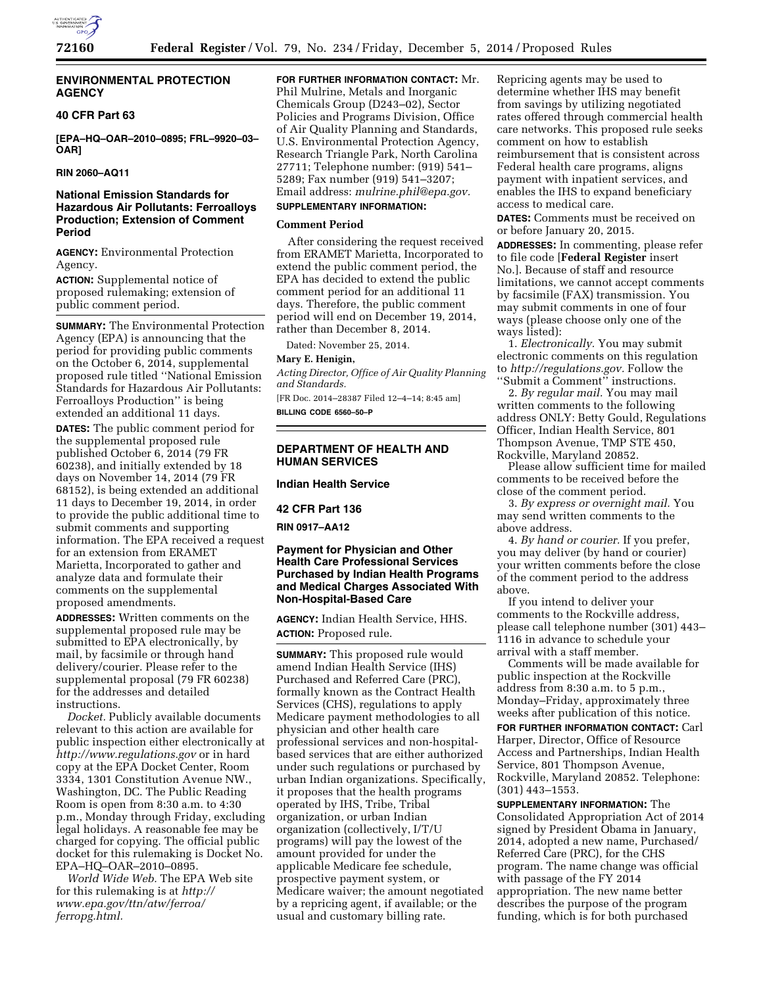

### **ENVIRONMENTAL PROTECTION AGENCY**

### **40 CFR Part 63**

**[EPA–HQ–OAR–2010–0895; FRL–9920–03– OAR]** 

**RIN 2060–AQ11** 

## **National Emission Standards for Hazardous Air Pollutants: Ferroalloys Production; Extension of Comment Period**

**AGENCY:** Environmental Protection Agency.

**ACTION:** Supplemental notice of proposed rulemaking; extension of public comment period.

**SUMMARY:** The Environmental Protection Agency (EPA) is announcing that the period for providing public comments on the October 6, 2014, supplemental proposed rule titled ''National Emission Standards for Hazardous Air Pollutants: Ferroalloys Production'' is being extended an additional 11 days.

**DATES:** The public comment period for the supplemental proposed rule published October 6, 2014 (79 FR 60238), and initially extended by 18 days on November 14, 2014 (79 FR 68152), is being extended an additional 11 days to December 19, 2014, in order to provide the public additional time to submit comments and supporting information. The EPA received a request for an extension from ERAMET Marietta, Incorporated to gather and analyze data and formulate their comments on the supplemental proposed amendments.

**ADDRESSES:** Written comments on the supplemental proposed rule may be submitted to EPA electronically, by mail, by facsimile or through hand delivery/courier. Please refer to the supplemental proposal (79 FR 60238) for the addresses and detailed instructions.

*Docket.* Publicly available documents relevant to this action are available for public inspection either electronically at *<http://www.regulations.gov>* or in hard copy at the EPA Docket Center, Room 3334, 1301 Constitution Avenue NW., Washington, DC. The Public Reading Room is open from 8:30 a.m. to 4:30 p.m., Monday through Friday, excluding legal holidays. A reasonable fee may be charged for copying. The official public docket for this rulemaking is Docket No. EPA–HQ–OAR–2010–0895.

*World Wide Web.* The EPA Web site for this rulemaking is at *[http://](http://www.epa.gov/ttn/atw/ferroa/ferropg.html) [www.epa.gov/ttn/atw/ferroa/](http://www.epa.gov/ttn/atw/ferroa/ferropg.html) [ferropg.html.](http://www.epa.gov/ttn/atw/ferroa/ferropg.html)* 

**FOR FURTHER INFORMATION CONTACT:** Mr.

Phil Mulrine, Metals and Inorganic Chemicals Group (D243–02), Sector Policies and Programs Division, Office of Air Quality Planning and Standards, U.S. Environmental Protection Agency, Research Triangle Park, North Carolina 27711; Telephone number: (919) 541– 5289; Fax number (919) 541–3207; Email address: *[mulrine.phil@epa.gov.](mailto:mulrine.phil@epa.gov)* 

# **SUPPLEMENTARY INFORMATION:**

### **Comment Period**

After considering the request received from ERAMET Marietta, Incorporated to extend the public comment period, the EPA has decided to extend the public comment period for an additional 11 days. Therefore, the public comment period will end on December 19, 2014, rather than December 8, 2014.

Dated: November 25, 2014.

#### **Mary E. Henigin,**

*Acting Director, Office of Air Quality Planning and Standards.* 

[FR Doc. 2014–28387 Filed 12–4–14; 8:45 am] **BILLING CODE 6560–50–P** 

### **DEPARTMENT OF HEALTH AND HUMAN SERVICES**

**Indian Health Service** 

#### **42 CFR Part 136**

**RIN 0917–AA12** 

## **Payment for Physician and Other Health Care Professional Services Purchased by Indian Health Programs and Medical Charges Associated With Non-Hospital-Based Care**

**AGENCY:** Indian Health Service, HHS. **ACTION:** Proposed rule.

**SUMMARY:** This proposed rule would amend Indian Health Service (IHS) Purchased and Referred Care (PRC), formally known as the Contract Health Services (CHS), regulations to apply Medicare payment methodologies to all physician and other health care professional services and non-hospitalbased services that are either authorized under such regulations or purchased by urban Indian organizations. Specifically, it proposes that the health programs operated by IHS, Tribe, Tribal organization, or urban Indian organization (collectively, I/T/U programs) will pay the lowest of the amount provided for under the applicable Medicare fee schedule, prospective payment system, or Medicare waiver; the amount negotiated by a repricing agent, if available; or the usual and customary billing rate.

Repricing agents may be used to determine whether IHS may benefit from savings by utilizing negotiated rates offered through commercial health care networks. This proposed rule seeks comment on how to establish reimbursement that is consistent across Federal health care programs, aligns payment with inpatient services, and enables the IHS to expand beneficiary access to medical care.

**DATES:** Comments must be received on or before January 20, 2015.

**ADDRESSES:** In commenting, please refer to file code [**Federal Register** insert No.]. Because of staff and resource limitations, we cannot accept comments by facsimile (FAX) transmission. You may submit comments in one of four ways (please choose only one of the ways listed):

1. *Electronically.* You may submit electronic comments on this regulation to *[http://regulations.gov.](http://regulations.gov)* Follow the ''Submit a Comment'' instructions.

2. *By regular mail.* You may mail written comments to the following address ONLY: Betty Gould, Regulations Officer, Indian Health Service, 801 Thompson Avenue, TMP STE 450, Rockville, Maryland 20852.

Please allow sufficient time for mailed comments to be received before the close of the comment period.

3. *By express or overnight mail.* You may send written comments to the above address.

4. *By hand or courier.* If you prefer, you may deliver (by hand or courier) your written comments before the close of the comment period to the address above.

If you intend to deliver your comments to the Rockville address, please call telephone number (301) 443– 1116 in advance to schedule your arrival with a staff member.

Comments will be made available for public inspection at the Rockville address from 8:30 a.m. to 5 p.m., Monday–Friday, approximately three weeks after publication of this notice.

**FOR FURTHER INFORMATION CONTACT:** Carl Harper, Director, Office of Resource Access and Partnerships, Indian Health Service, 801 Thompson Avenue, Rockville, Maryland 20852. Telephone: (301) 443–1553.

**SUPPLEMENTARY INFORMATION:** The Consolidated Appropriation Act of 2014 signed by President Obama in January, 2014, adopted a new name, Purchased/ Referred Care (PRC), for the CHS program. The name change was official with passage of the FY 2014 appropriation. The new name better describes the purpose of the program funding, which is for both purchased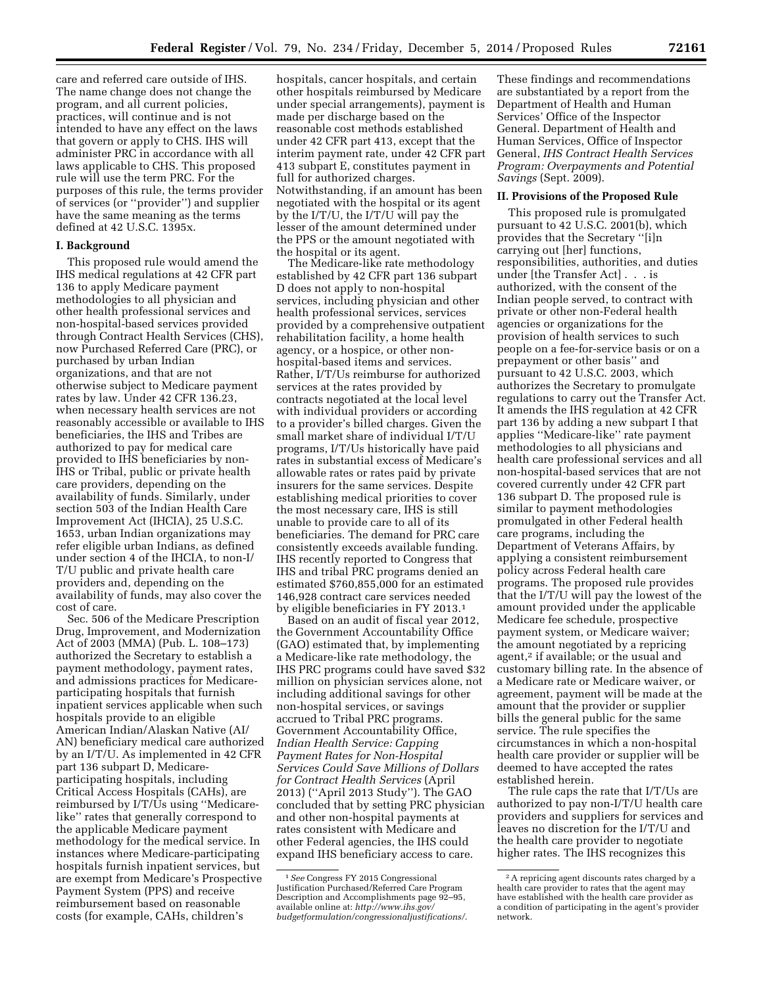care and referred care outside of IHS. The name change does not change the program, and all current policies, practices, will continue and is not intended to have any effect on the laws that govern or apply to CHS. IHS will administer PRC in accordance with all laws applicable to CHS. This proposed rule will use the term PRC. For the purposes of this rule, the terms provider of services (or ''provider'') and supplier have the same meaning as the terms defined at 42 U.S.C. 1395x.

## **I. Background**

This proposed rule would amend the IHS medical regulations at 42 CFR part 136 to apply Medicare payment methodologies to all physician and other health professional services and non-hospital-based services provided through Contract Health Services (CHS), now Purchased Referred Care (PRC), or purchased by urban Indian organizations, and that are not otherwise subject to Medicare payment rates by law. Under 42 CFR 136.23, when necessary health services are not reasonably accessible or available to IHS beneficiaries, the IHS and Tribes are authorized to pay for medical care provided to IHS beneficiaries by non-IHS or Tribal, public or private health care providers, depending on the availability of funds. Similarly, under section 503 of the Indian Health Care Improvement Act (IHCIA), 25 U.S.C. 1653, urban Indian organizations may refer eligible urban Indians, as defined under section 4 of the IHCIA, to non-I/ T/U public and private health care providers and, depending on the availability of funds, may also cover the cost of care.

Sec. 506 of the Medicare Prescription Drug, Improvement, and Modernization Act of 2003 (MMA) (Pub. L. 108–173) authorized the Secretary to establish a payment methodology, payment rates, and admissions practices for Medicareparticipating hospitals that furnish inpatient services applicable when such hospitals provide to an eligible American Indian/Alaskan Native (AI/ AN) beneficiary medical care authorized by an I/T/U. As implemented in 42 CFR part 136 subpart D, Medicareparticipating hospitals, including Critical Access Hospitals (CAHs), are reimbursed by I/T/Us using ''Medicarelike'' rates that generally correspond to the applicable Medicare payment methodology for the medical service. In instances where Medicare-participating hospitals furnish inpatient services, but are exempt from Medicare's Prospective Payment System (PPS) and receive reimbursement based on reasonable costs (for example, CAHs, children's

hospitals, cancer hospitals, and certain other hospitals reimbursed by Medicare under special arrangements), payment is made per discharge based on the reasonable cost methods established under 42 CFR part 413, except that the interim payment rate, under 42 CFR part 413 subpart E, constitutes payment in full for authorized charges. Notwithstanding, if an amount has been negotiated with the hospital or its agent by the I/T/U, the I/T/U will pay the lesser of the amount determined under the PPS or the amount negotiated with the hospital or its agent.

The Medicare-like rate methodology established by 42 CFR part 136 subpart D does not apply to non-hospital services, including physician and other health professional services, services provided by a comprehensive outpatient rehabilitation facility, a home health agency, or a hospice, or other nonhospital-based items and services. Rather, I/T/Us reimburse for authorized services at the rates provided by contracts negotiated at the local level with individual providers or according to a provider's billed charges. Given the small market share of individual I/T/U programs, I/T/Us historically have paid rates in substantial excess of Medicare's allowable rates or rates paid by private insurers for the same services. Despite establishing medical priorities to cover the most necessary care, IHS is still unable to provide care to all of its beneficiaries. The demand for PRC care consistently exceeds available funding. IHS recently reported to Congress that IHS and tribal PRC programs denied an estimated \$760,855,000 for an estimated 146,928 contract care services needed by eligible beneficiaries in FY 2013.1

Based on an audit of fiscal year 2012, the Government Accountability Office (GAO) estimated that, by implementing a Medicare-like rate methodology, the IHS PRC programs could have saved \$32 million on physician services alone, not including additional savings for other non-hospital services, or savings accrued to Tribal PRC programs. Government Accountability Office, *Indian Health Service: Capping Payment Rates for Non-Hospital Services Could Save Millions of Dollars for Contract Health Services* (April 2013) (''April 2013 Study''). The GAO concluded that by setting PRC physician and other non-hospital payments at rates consistent with Medicare and other Federal agencies, the IHS could expand IHS beneficiary access to care.

These findings and recommendations are substantiated by a report from the Department of Health and Human Services' Office of the Inspector General. Department of Health and Human Services, Office of Inspector General, *IHS Contract Health Services Program: Overpayments and Potential Savings* (Sept. 2009).

#### **II. Provisions of the Proposed Rule**

This proposed rule is promulgated pursuant to 42 U.S.C. 2001(b), which provides that the Secretary ''[i]n carrying out [her] functions, responsibilities, authorities, and duties under [the Transfer Act] . . . is authorized, with the consent of the Indian people served, to contract with private or other non-Federal health agencies or organizations for the provision of health services to such people on a fee-for-service basis or on a prepayment or other basis'' and pursuant to 42 U.S.C. 2003, which authorizes the Secretary to promulgate regulations to carry out the Transfer Act. It amends the IHS regulation at 42 CFR part 136 by adding a new subpart I that applies ''Medicare-like'' rate payment methodologies to all physicians and health care professional services and all non-hospital-based services that are not covered currently under 42 CFR part 136 subpart D. The proposed rule is similar to payment methodologies promulgated in other Federal health care programs, including the Department of Veterans Affairs, by applying a consistent reimbursement policy across Federal health care programs. The proposed rule provides that the I/T/U will pay the lowest of the amount provided under the applicable Medicare fee schedule, prospective payment system, or Medicare waiver; the amount negotiated by a repricing agent,<sup>2</sup> if available; or the usual and customary billing rate. In the absence of a Medicare rate or Medicare waiver, or agreement, payment will be made at the amount that the provider or supplier bills the general public for the same service. The rule specifies the circumstances in which a non-hospital health care provider or supplier will be deemed to have accepted the rates established herein.

The rule caps the rate that I/T/Us are authorized to pay non-I/T/U health care providers and suppliers for services and leaves no discretion for the I/T/U and the health care provider to negotiate higher rates. The IHS recognizes this

<sup>1</sup>*See* Congress FY 2015 Congressional Justification Purchased/Referred Care Program Description and Accomplishments page 92-95, available online at: *[http://www.ihs.gov/](http://www.ihs.gov/budgetformulation/congressionaljustifications/) [budgetformulation/congressionaljustifications/](http://www.ihs.gov/budgetformulation/congressionaljustifications/)*.

<sup>2</sup>A repricing agent discounts rates charged by a health care provider to rates that the agent may have established with the health care provider as a condition of participating in the agent's provider network.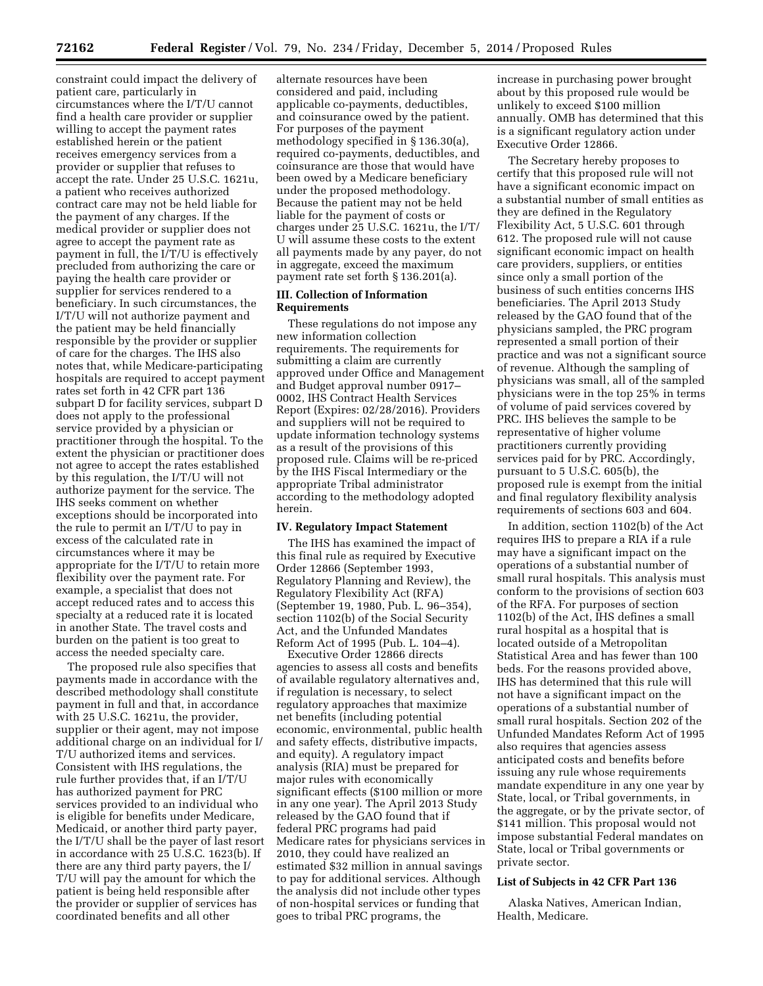constraint could impact the delivery of patient care, particularly in circumstances where the I/T/U cannot find a health care provider or supplier willing to accept the payment rates established herein or the patient receives emergency services from a provider or supplier that refuses to accept the rate. Under 25 U.S.C. 1621u, a patient who receives authorized contract care may not be held liable for the payment of any charges. If the medical provider or supplier does not agree to accept the payment rate as payment in full, the I/T/U is effectively precluded from authorizing the care or paying the health care provider or supplier for services rendered to a beneficiary. In such circumstances, the I/T/U will not authorize payment and the patient may be held financially responsible by the provider or supplier of care for the charges. The IHS also notes that, while Medicare-participating hospitals are required to accept payment rates set forth in 42 CFR part 136 subpart D for facility services, subpart D does not apply to the professional service provided by a physician or practitioner through the hospital. To the extent the physician or practitioner does not agree to accept the rates established by this regulation, the I/T/U will not authorize payment for the service. The IHS seeks comment on whether exceptions should be incorporated into the rule to permit an I/T/U to pay in excess of the calculated rate in circumstances where it may be appropriate for the I/T/U to retain more flexibility over the payment rate. For example, a specialist that does not accept reduced rates and to access this specialty at a reduced rate it is located in another State. The travel costs and burden on the patient is too great to access the needed specialty care.

The proposed rule also specifies that payments made in accordance with the described methodology shall constitute payment in full and that, in accordance with 25 U.S.C. 1621u, the provider, supplier or their agent, may not impose additional charge on an individual for I/ T/U authorized items and services. Consistent with IHS regulations, the rule further provides that, if an I/T/U has authorized payment for PRC services provided to an individual who is eligible for benefits under Medicare, Medicaid, or another third party payer, the I/T/U shall be the payer of last resort in accordance with 25 U.S.C. 1623(b). If there are any third party payers, the I/ T/U will pay the amount for which the patient is being held responsible after the provider or supplier of services has coordinated benefits and all other

alternate resources have been considered and paid, including applicable co-payments, deductibles, and coinsurance owed by the patient. For purposes of the payment methodology specified in § 136.30(a), required co-payments, deductibles, and coinsurance are those that would have been owed by a Medicare beneficiary under the proposed methodology. Because the patient may not be held liable for the payment of costs or charges under 25 U.S.C. 1621u, the I/T/ U will assume these costs to the extent all payments made by any payer, do not in aggregate, exceed the maximum payment rate set forth § 136.201(a).

#### **III. Collection of Information Requirements**

These regulations do not impose any new information collection requirements. The requirements for submitting a claim are currently approved under Office and Management and Budget approval number 0917– 0002, IHS Contract Health Services Report (Expires: 02/28/2016). Providers and suppliers will not be required to update information technology systems as a result of the provisions of this proposed rule. Claims will be re-priced by the IHS Fiscal Intermediary or the appropriate Tribal administrator according to the methodology adopted herein.

#### **IV. Regulatory Impact Statement**

The IHS has examined the impact of this final rule as required by Executive Order 12866 (September 1993, Regulatory Planning and Review), the Regulatory Flexibility Act (RFA) (September 19, 1980, Pub. L. 96–354), section 1102(b) of the Social Security Act, and the Unfunded Mandates Reform Act of 1995 (Pub. L. 104–4).

Executive Order 12866 directs agencies to assess all costs and benefits of available regulatory alternatives and, if regulation is necessary, to select regulatory approaches that maximize net benefits (including potential economic, environmental, public health and safety effects, distributive impacts, and equity). A regulatory impact analysis (RIA) must be prepared for major rules with economically significant effects (\$100 million or more in any one year). The April 2013 Study released by the GAO found that if federal PRC programs had paid Medicare rates for physicians services in 2010, they could have realized an estimated \$32 million in annual savings to pay for additional services. Although the analysis did not include other types of non-hospital services or funding that goes to tribal PRC programs, the

increase in purchasing power brought about by this proposed rule would be unlikely to exceed \$100 million annually. OMB has determined that this is a significant regulatory action under Executive Order 12866.

The Secretary hereby proposes to certify that this proposed rule will not have a significant economic impact on a substantial number of small entities as they are defined in the Regulatory Flexibility Act, 5 U.S.C. 601 through 612. The proposed rule will not cause significant economic impact on health care providers, suppliers, or entities since only a small portion of the business of such entities concerns IHS beneficiaries. The April 2013 Study released by the GAO found that of the physicians sampled, the PRC program represented a small portion of their practice and was not a significant source of revenue. Although the sampling of physicians was small, all of the sampled physicians were in the top 25% in terms of volume of paid services covered by PRC. IHS believes the sample to be representative of higher volume practitioners currently providing services paid for by PRC. Accordingly, pursuant to 5 U.S.C. 605(b), the proposed rule is exempt from the initial and final regulatory flexibility analysis requirements of sections 603 and 604.

In addition, section 1102(b) of the Act requires IHS to prepare a RIA if a rule may have a significant impact on the operations of a substantial number of small rural hospitals. This analysis must conform to the provisions of section 603 of the RFA. For purposes of section 1102(b) of the Act, IHS defines a small rural hospital as a hospital that is located outside of a Metropolitan Statistical Area and has fewer than 100 beds. For the reasons provided above, IHS has determined that this rule will not have a significant impact on the operations of a substantial number of small rural hospitals. Section 202 of the Unfunded Mandates Reform Act of 1995 also requires that agencies assess anticipated costs and benefits before issuing any rule whose requirements mandate expenditure in any one year by State, local, or Tribal governments, in the aggregate, or by the private sector, of \$141 million. This proposal would not impose substantial Federal mandates on State, local or Tribal governments or private sector.

#### **List of Subjects in 42 CFR Part 136**

Alaska Natives, American Indian, Health, Medicare.